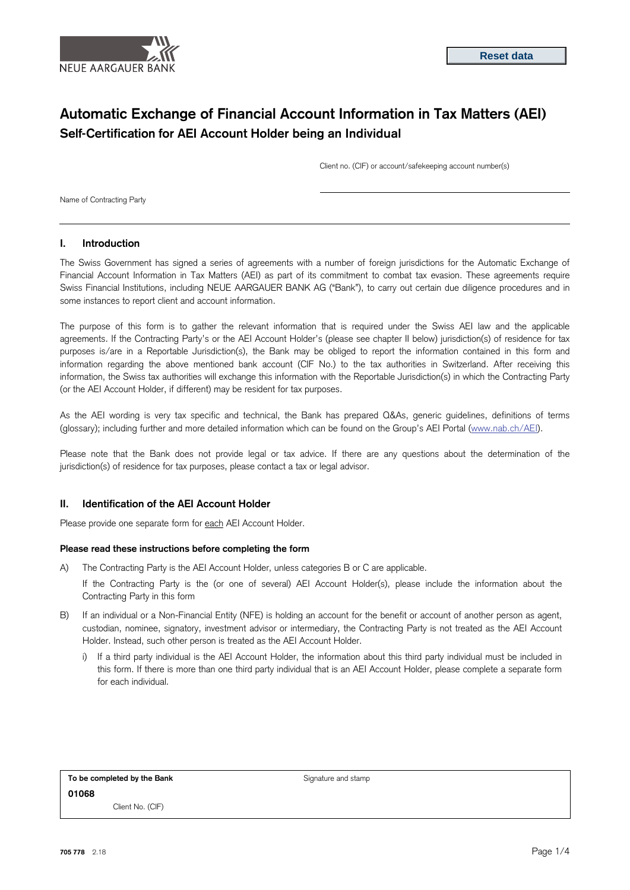

# **Automatic Exchange of Financial Account Information in Tax Matters (AEI) Self-Certification for AEI Account Holder being an Individual**

Client no. (CIF) or account/safekeeping account number(s)

Name of Contracting Party

#### **I. Introduction**

The Swiss Government has signed a series of agreements with a number of foreign jurisdictions for the Automatic Exchange of Financial Account Information in Tax Matters (AEI) as part of its commitment to combat tax evasion. These agreements require Swiss Financial Institutions, including NEUE AARGAUER BANK AG ("Bank"), to carry out certain due diligence procedures and in some instances to report client and account information.

The purpose of this form is to gather the relevant information that is required under the Swiss AEI law and the applicable agreements. If the Contracting Party's or the AEI Account Holder's (please see chapter II below) jurisdiction(s) of residence for tax purposes is/are in a Reportable Jurisdiction(s), the Bank may be obliged to report the information contained in this form and information regarding the above mentioned bank account (CIF No.) to the tax authorities in Switzerland. After receiving this information, the Swiss tax authorities will exchange this information with the Reportable Jurisdiction(s) in which the Contracting Party (or the AEI Account Holder, if different) may be resident for tax purposes.

As the AEI wording is very tax specific and technical, the Bank has prepared Q&As, generic guidelines, definitions of terms (glossary); including further and more detailed information which can be found on the Group's AEI Portal [\(www.nab.ch/AEI\).](http://www.credit-suisse.com/AEI)

Please note that the Bank does not provide legal or tax advice. If there are any questions about the determination of the jurisdiction(s) of residence for tax purposes, please contact a tax or legal advisor.

### **II. Identification of the AEI Account Holder**

Please provide one separate form for each AEI Account Holder.

#### **Please read these instructions before completing the form**

- A) The Contracting Party is the AEI Account Holder, unless categories B or C are applicable.
	- If the Contracting Party is the (or one of several) AEI Account Holder(s), please include the information about the Contracting Party in this form
- B) If an individual or a Non-Financial Entity (NFE) is holding an account for the benefit or account of another person as agent, custodian, nominee, signatory, investment advisor or intermediary, the Contracting Party is not treated as the AEI Account Holder. Instead, such other person is treated as the AEI Account Holder.
	- i) If a third party individual is the AEI Account Holder, the information about this third party individual must be included in this form. If there is more than one third party individual that is an AEI Account Holder, please complete a separate form for each individual.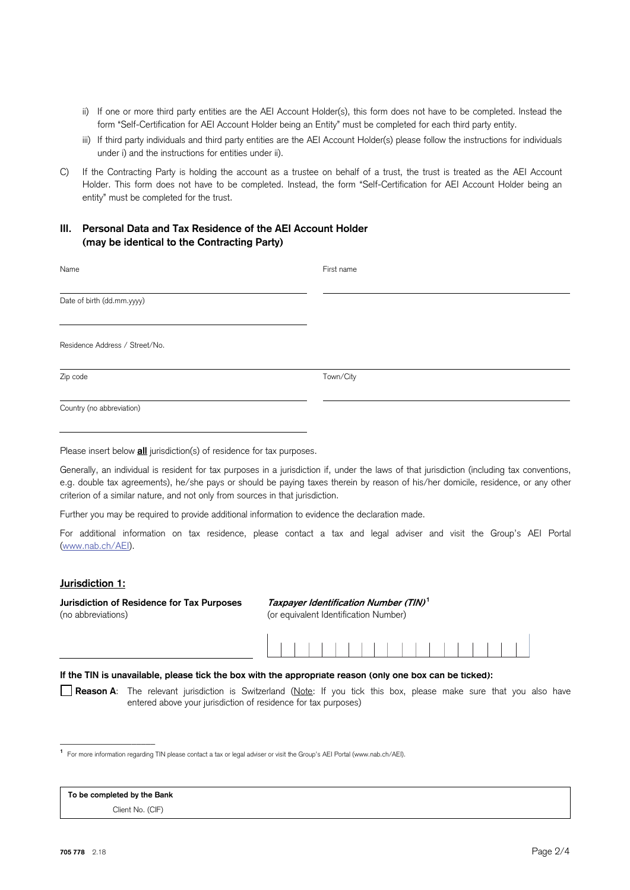- ii) If one or more third party entities are the AEI Account Holder(s), this form does not have to be completed. Instead the form "Self-Certification for AEI Account Holder being an Entity" must be completed for each third party entity.
- iii) If third party individuals and third party entities are the AEI Account Holder(s) please follow the instructions for individuals under i) and the instructions for entities under ii).
- C) If the Contracting Party is holding the account as a trustee on behalf of a trust, the trust is treated as the AEI Account Holder. This form does not have to be completed. Instead, the form "Self-Certification for AEI Account Holder being an entity" must be completed for the trust.

# **III. Personal Data and Tax Residence of the AEI Account Holder (may be identical to the Contracting Party)**

| Name                           | First name |  |  |  |  |  |  |  |  |
|--------------------------------|------------|--|--|--|--|--|--|--|--|
| Date of birth (dd.mm.yyyy)     |            |  |  |  |  |  |  |  |  |
| Residence Address / Street/No. |            |  |  |  |  |  |  |  |  |
| Zip code                       | Town/City  |  |  |  |  |  |  |  |  |
| Country (no abbreviation)      |            |  |  |  |  |  |  |  |  |

Please insert below **all** jurisdiction(s) of residence for tax purposes.

Generally, an individual is resident for tax purposes in a jurisdiction if, under the laws of that jurisdiction (including tax conventions, e.g. double tax agreements), he/she pays or should be paying taxes therein by reason of his/her domicile, residence, or any other criterion of a similar nature, and not only from sources in that jurisdiction.

Further you may be required to provide additional information to evidence the declaration made.

For additional information on tax residence, please contact a tax and legal adviser and visit the Group's AEI Portal [\(www.nab.ch/AEI\).](http://www.credit-suisse.com/AEI) 

### **Jurisdiction 1:**

**Jurisdiction of Residence for Tax Purposes Taxpayer Identification Number (TIN)<sup>1</sup>** (no abbreviations) (or equivalent Identification Number)



### **If the TIN is unavailable, please tick the box with the appropriate reason (only one box can be ticked):**

 **Reason A**: The relevant jurisdiction is Switzerland (Note: If you tick this box, please make sure that you also have entered above your jurisdiction of residence for tax purposes)

**<sup>1</sup>**For more information regarding TIN please contact a tax or legal adviser or visit the Group's AEI Portal (www.nab.ch/AEI).

## **To be completed by the Bank**

\_\_\_\_\_\_\_\_\_\_\_\_\_\_\_\_\_\_\_\_

Client No. (CIF)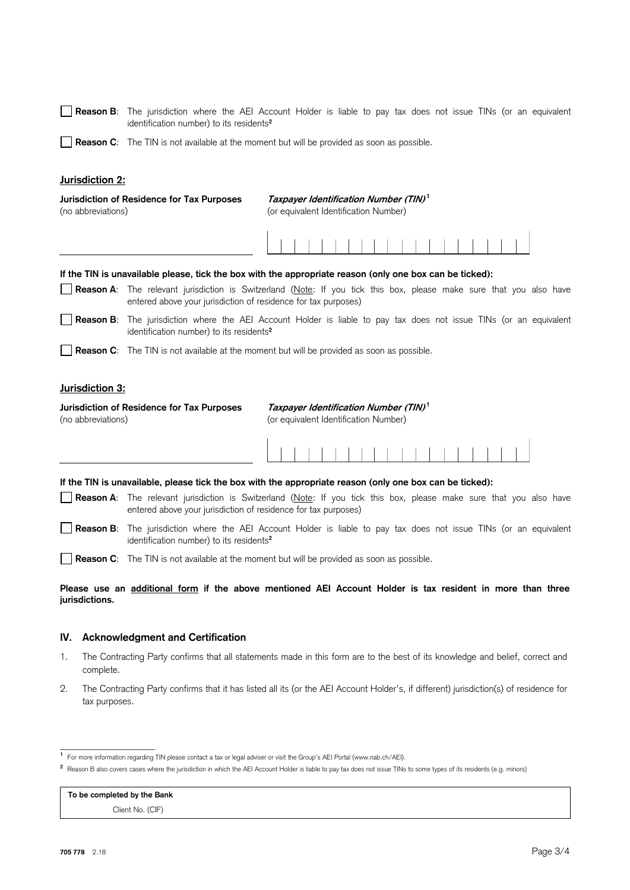| <b>Reason B</b> : The jurisdiction where the AEI Account Holder is liable to pay tax does not issue TINs (or an equivalent |  |  |  |  |  |  |  |  |  |
|----------------------------------------------------------------------------------------------------------------------------|--|--|--|--|--|--|--|--|--|
| identification number) to its residents <sup>2</sup>                                                                       |  |  |  |  |  |  |  |  |  |

**Reason C**: The TIN is not available at the moment but will be provided as soon as possible.

#### **Jurisdiction 2:**

| Jurisdiction of Residence for Tax Purposes<br>(no abbreviations) | (or equivalent Identification Number) |  |  |  |  | Taxpayer Identification Number (TIN) <sup>1</sup> |  |  |  |  |  |
|------------------------------------------------------------------|---------------------------------------|--|--|--|--|---------------------------------------------------|--|--|--|--|--|
|                                                                  |                                       |  |  |  |  |                                                   |  |  |  |  |  |

**If the TIN is unavailable please, tick the box with the appropriate reason (only one box can be ticked):** 

**Reason A**: The relevant jurisdiction is Switzerland (Note: If you tick this box, please make sure that you also have entered above your jurisdiction of residence for tax purposes)

 **Reason B**: The jurisdiction where the AEI Account Holder is liable to pay tax does not issue TINs (or an equivalent identification number) to its residents**<sup>2</sup>**

**Reason C**: The TIN is not available at the moment but will be provided as soon as possible.

#### **Jurisdiction 3:**

**Jurisdiction of Residence for Tax Purposes Taxpayer Identification Number (TIN)<sup>1</sup>** (no abbreviations) (or equivalent Identification Number)

#### **If the TIN is unavailable, please tick the box with the appropriate reason (only one box can be ticked):**

**Reason A**: The relevant jurisdiction is Switzerland (Note: If you tick this box, please make sure that you also have entered above your jurisdiction of residence for tax purposes)

 **Reason B**: The jurisdiction where the AEI Account Holder is liable to pay tax does not issue TINs (or an equivalent identification number) to its residents**<sup>2</sup>**

**Reason C**: The TIN is not available at the moment but will be provided as soon as possible.

### **Please use an additional form if the above mentioned AEI Account Holder is tax resident in more than three jurisdictions.**

#### **IV. Acknowledgment and Certification**

- 1. The Contracting Party confirms that all statements made in this form are to the best of its knowledge and belief, correct and complete.
- 2. The Contracting Party confirms that it has listed all its (or the AEI Account Holder's, if different) jurisdiction(s) of residence for tax purposes.

**To be completed by the Bank** Client No. (CIF)

\_\_\_\_\_\_\_\_\_\_\_\_\_\_\_\_\_\_\_\_

**<sup>1</sup>**For more information regarding TIN please contact a tax or legal adviser or visit the Group's AEI Portal (www.nab.ch/AEI).

<sup>&</sup>lt;sup>2</sup> Reason B also covers cases where the jurisdiction in which the AEI Account Holder is liable to pay tax does not issue TINs to some types of its residents (e.g. minors)